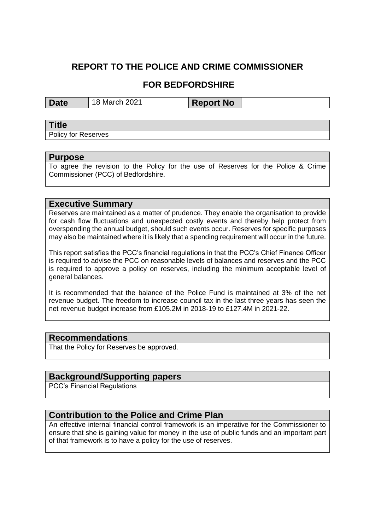# **REPORT TO THE POLICE AND CRIME COMMISSIONER**

## **FOR BEDFORDSHIRE**

**Date** | 18 March 2021 | **Report No** 

### **Title**

Policy for Reserves

#### **Purpose**

To agree the revision to the Policy for the use of Reserves for the Police & Crime Commissioner (PCC) of Bedfordshire.

### **Executive Summary**

Reserves are maintained as a matter of prudence. They enable the organisation to provide for cash flow fluctuations and unexpected costly events and thereby help protect from overspending the annual budget, should such events occur. Reserves for specific purposes may also be maintained where it is likely that a spending requirement will occur in the future.

This report satisfies the PCC's financial regulations in that the PCC's Chief Finance Officer is required to advise the PCC on reasonable levels of balances and reserves and the PCC is required to approve a policy on reserves, including the minimum acceptable level of general balances.

It is recommended that the balance of the Police Fund is maintained at 3% of the net revenue budget. The freedom to increase council tax in the last three years has seen the net revenue budget increase from £105.2M in 2018-19 to £127.4M in 2021-22.

### **Recommendations**

That the Policy for Reserves be approved.

## **Background/Supporting papers**

PCC's Financial Regulations

### **Contribution to the Police and Crime Plan**

An effective internal financial control framework is an imperative for the Commissioner to ensure that she is gaining value for money in the use of public funds and an important part of that framework is to have a policy for the use of reserves.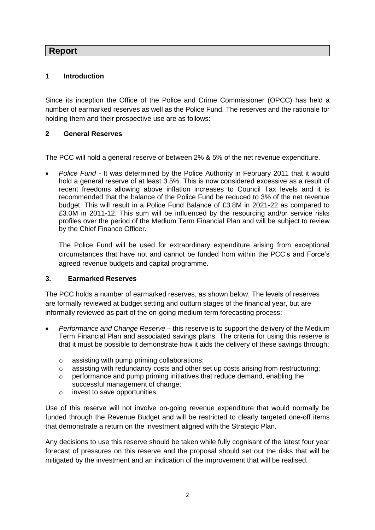### **Report**

### **1 Introduction**

Since its inception the Office of the Police and Crime Commissioner (OPCC) has held a number of earmarked reserves as well as the Police Fund. The reserves and the rationale for holding them and their prospective use are as follows:

### **2 General Reserves**

The PCC will hold a general reserve of between 2% & 5% of the net revenue expenditure.

• *Police Fund -* It was determined by the Police Authority in February 2011 that it would hold a general reserve of at least 3.5%. This is now considered excessive as a result of recent freedoms allowing above inflation increases to Council Tax levels and it is recommended that the balance of the Police Fund be reduced to 3% of the net revenue budget. This will result in a Police Fund Balance of £3.8M in 2021-22 as compared to £3.0M in 2011-12. This sum will be influenced by the resourcing and/or service risks profiles over the period of the Medium Term Financial Plan and will be subject to review by the Chief Finance Officer.

The Police Fund will be used for extraordinary expenditure arising from exceptional circumstances that have not and cannot be funded from within the PCC's and Force's agreed revenue budgets and capital programme.

#### **3. Earmarked Reserves**

The PCC holds a number of earmarked reserves, as shown below. The levels of reserves are formally reviewed at budget setting and outturn stages of the financial year, but are informally reviewed as part of the on-going medium term forecasting process:

- *Performance and Change Reserve* this reserve is to support the delivery of the Medium Term Financial Plan and associated savings plans. The criteria for using this reserve is that it must be possible to demonstrate how it aids the delivery of these savings through;
	- o assisting with pump priming collaborations;
	- o assisting with redundancy costs and other set up costs arising from restructuring;
	- $\circ$  performance and pump priming initiatives that reduce demand, enabling the successful management of change;
	- o invest to save opportunities.

Use of this reserve will not involve on-going revenue expenditure that would normally be funded through the Revenue Budget and will be restricted to clearly targeted one-off items that demonstrate a return on the investment aligned with the Strategic Plan.

Any decisions to use this reserve should be taken while fully cognisant of the latest four year forecast of pressures on this reserve and the proposal should set out the risks that will be mitigated by the investment and an indication of the improvement that will be realised.